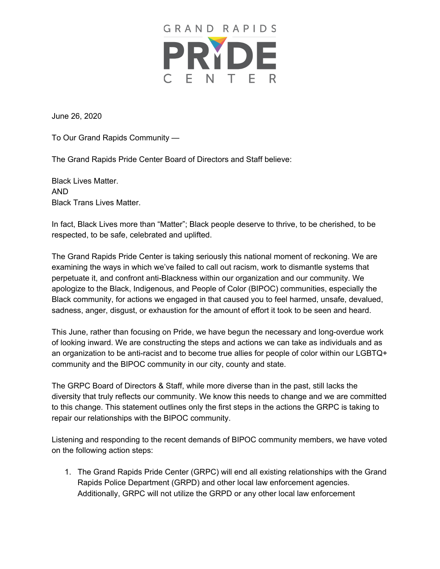

June 26, 2020

To Our Grand Rapids Community —

The Grand Rapids Pride Center Board of Directors and Staff believe:

Black Lives Matter. AND Black Trans Lives Matter.

In fact, Black Lives more than "Matter"; Black people deserve to thrive, to be cherished, to be respected, to be safe, celebrated and uplifted.

The Grand Rapids Pride Center is taking seriously this national moment of reckoning. We are examining the ways in which we've failed to call out racism, work to dismantle systems that perpetuate it, and confront anti-Blackness within our organization and our community. We apologize to the Black, Indigenous, and People of Color (BIPOC) communities, especially the Black community, for actions we engaged in that caused you to feel harmed, unsafe, devalued, sadness, anger, disgust, or exhaustion for the amount of effort it took to be seen and heard.

This June, rather than focusing on Pride, we have begun the necessary and long-overdue work of looking inward. We are constructing the steps and actions we can take as individuals and as an organization to be anti-racist and to become true allies for people of color within our LGBTQ+ community and the BIPOC community in our city, county and state.

The GRPC Board of Directors & Staff, while more diverse than in the past, still lacks the diversity that truly reflects our community. We know this needs to change and we are committed to this change. This statement outlines only the first steps in the actions the GRPC is taking to repair our relationships with the BIPOC community.

Listening and responding to the recent demands of BIPOC community members, we have voted on the following action steps:

1. The Grand Rapids Pride Center (GRPC) will end all existing relationships with the Grand Rapids Police Department (GRPD) and other local law enforcement agencies. Additionally, GRPC will not utilize the GRPD or any other local law enforcement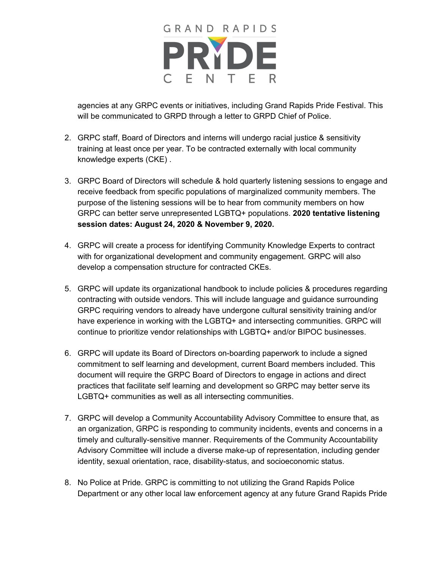

agencies at any GRPC events or initiatives, including Grand Rapids Pride Festival. This will be communicated to GRPD through a letter to GRPD Chief of Police.

- 2. GRPC staff, Board of Directors and interns will undergo racial justice & sensitivity training at least once per year. To be contracted externally with local community knowledge experts (CKE) .
- 3. GRPC Board of Directors will schedule & hold quarterly listening sessions to engage and receive feedback from specific populations of marginalized community members. The purpose of the listening sessions will be to hear from community members on how GRPC can better serve unrepresented LGBTQ+ populations. **2020 tentative listening session dates: August 24, 2020 & November 9, 2020.**
- 4. GRPC will create a process for identifying Community Knowledge Experts to contract with for organizational development and community engagement. GRPC will also develop a compensation structure for contracted CKEs.
- 5. GRPC will update its organizational handbook to include policies & procedures regarding contracting with outside vendors. This will include language and guidance surrounding GRPC requiring vendors to already have undergone cultural sensitivity training and/or have experience in working with the LGBTQ+ and intersecting communities. GRPC will continue to prioritize vendor relationships with LGBTQ+ and/or BIPOC businesses.
- 6. GRPC will update its Board of Directors on-boarding paperwork to include a signed commitment to self learning and development, current Board members included. This document will require the GRPC Board of Directors to engage in actions and direct practices that facilitate self learning and development so GRPC may better serve its LGBTQ+ communities as well as all intersecting communities.
- 7. GRPC will develop a Community Accountability Advisory Committee to ensure that, as an organization, GRPC is responding to community incidents, events and concerns in a timely and culturally-sensitive manner. Requirements of the Community Accountability Advisory Committee will include a diverse make-up of representation, including gender identity, sexual orientation, race, disability-status, and socioeconomic status.
- 8. No Police at Pride. GRPC is committing to not utilizing the Grand Rapids Police Department or any other local law enforcement agency at any future Grand Rapids Pride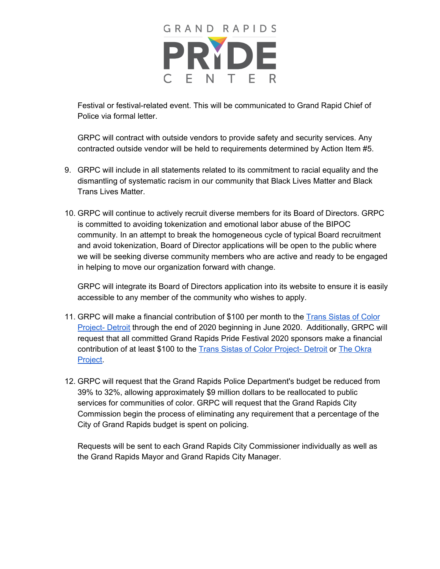

Festival or festival-related event. This will be communicated to Grand Rapid Chief of Police via formal letter.

GRPC will contract with outside vendors to provide safety and security services. Any contracted outside vendor will be held to requirements determined by Action Item #5.

- 9. GRPC will include in all statements related to its commitment to racial equality and the dismantling of systematic racism in our community that Black Lives Matter and Black Trans Lives Matter.
- 10. GRPC will continue to actively recruit diverse members for its Board of Directors. GRPC is committed to avoiding tokenization and emotional labor abuse of the BIPOC community. In an attempt to break the homogeneous cycle of typical Board recruitment and avoid tokenization, Board of Director applications will be open to the public where we will be seeking diverse community members who are active and ready to be engaged in helping to move our organization forward with change.

GRPC will integrate its Board of Directors application into its website to ensure it is easily accessible to any member of the community who wishes to apply.

- 11. GRPC will make a financial contribution of \$100 per month to th[e](https://www.facebook.com/TSCOPD/) Trans [Sistas](https://www.facebook.com/TSCOPD/) of Color [Project-](https://www.facebook.com/TSCOPD/) Detroit through the end of 2020 beginning in June 2020. Additionally, GRPC will request that all committed Grand Rapids Pride Festival 2020 sponsors make a financial contribution of at least \$100 to the [T](https://www.facebook.com/TSCOPD/)rans Sistas of Color [Project-](https://www.facebook.com/TSCOPD/) Detroit or [T](https://www.theokraproject.com/)he [Okra](https://www.theokraproject.com/) [Project](https://www.theokraproject.com/).
- 12. GRPC will request that the Grand Rapids Police Department's budget be reduced from 39% to 32%, allowing approximately \$9 million dollars to be reallocated to public services for communities of color. GRPC will request that the Grand Rapids City Commission begin the process of eliminating any requirement that a percentage of the City of Grand Rapids budget is spent on policing.

Requests will be sent to each Grand Rapids City Commissioner individually as well as the Grand Rapids Mayor and Grand Rapids City Manager.